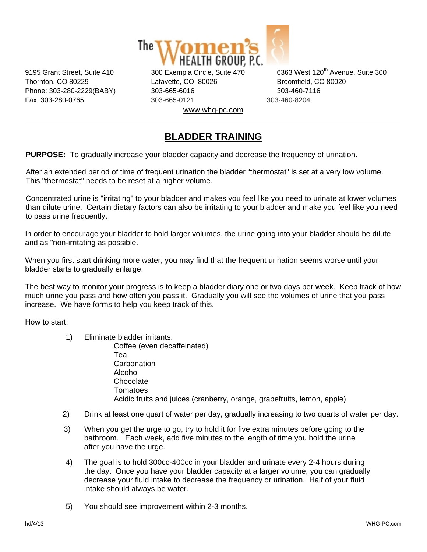

Thornton, CO 80229 Lafayette, CO 80026 Broomfield, CO 80020 Phone: 303-280-2229(BABY) 303-665-6016 303-460-7116 Fax: 303-280-0765 303-665-0121 303-460-8204 www.whg-pc.com

9195 Grant Street, Suite 410 300 Exempla Circle, Suite 470 6363 West 120<sup>th</sup> Avenue, Suite 300

## **BLADDER TRAINING**

**PURPOSE:** To gradually increase your bladder capacity and decrease the frequency of urination.

After an extended period of time of frequent urination the bladder "thermostat" is set at a very low volume. This "thermostat" needs to be reset at a higher volume.

Concentrated urine is "irritating" to your bladder and makes you feel like you need to urinate at lower volumes than dilute urine. Certain dietary factors can also be irritating to your bladder and make you feel like you need to pass urine frequently.

In order to encourage your bladder to hold larger volumes, the urine going into your bladder should be dilute and as "non-irritating as possible.

When you first start drinking more water, you may find that the frequent urination seems worse until your bladder starts to gradually enlarge.

The best way to monitor your progress is to keep a bladder diary one or two days per week. Keep track of how much urine you pass and how often you pass it. Gradually you will see the volumes of urine that you pass increase. We have forms to help you keep track of this.

How to start:

- 1) Eliminate bladder irritants: Coffee (even decaffeinated) Tea **Carbonation**  Alcohol Chocolate **Tomatoes** Acidic fruits and juices (cranberry, orange, grapefruits, lemon, apple)
- 2) Drink at least one quart of water per day, gradually increasing to two quarts of water per day.
- 3) When you get the urge to go, try to hold it for five extra minutes before going to the bathroom. Each week, add five minutes to the length of time you hold the urine after you have the urge.
- 4) The goal is to hold 300cc-400cc in your bladder and urinate every 2-4 hours during the day. Once you have your bladder capacity at a larger volume, you can gradually decrease your fluid intake to decrease the frequency or urination. Half of your fluid intake should always be water.
- 5) You should see improvement within 2-3 months.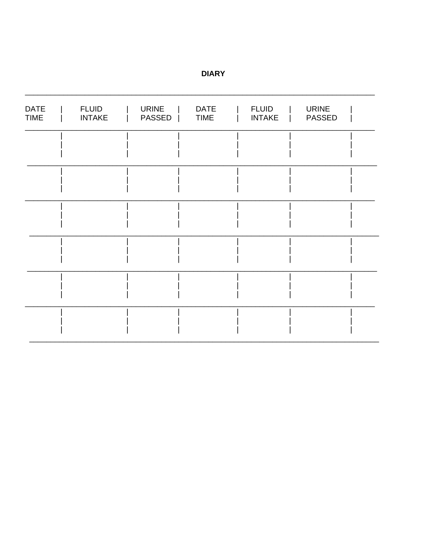| <b>DATE</b><br><b>TIME</b> | <b>FLUID</b><br><b>INTAKE</b> | <b>URINE</b><br>PASSED | <b>DATE</b><br><b>TIME</b> | <b>FLUID</b><br><b>INTAKE</b> | <b>URINE</b><br><b>PASSED</b> |  |
|----------------------------|-------------------------------|------------------------|----------------------------|-------------------------------|-------------------------------|--|
|                            |                               |                        |                            |                               |                               |  |
|                            |                               |                        |                            |                               |                               |  |
|                            |                               |                        |                            |                               |                               |  |
|                            |                               |                        |                            |                               |                               |  |
|                            |                               |                        |                            |                               |                               |  |
|                            |                               |                        |                            |                               |                               |  |